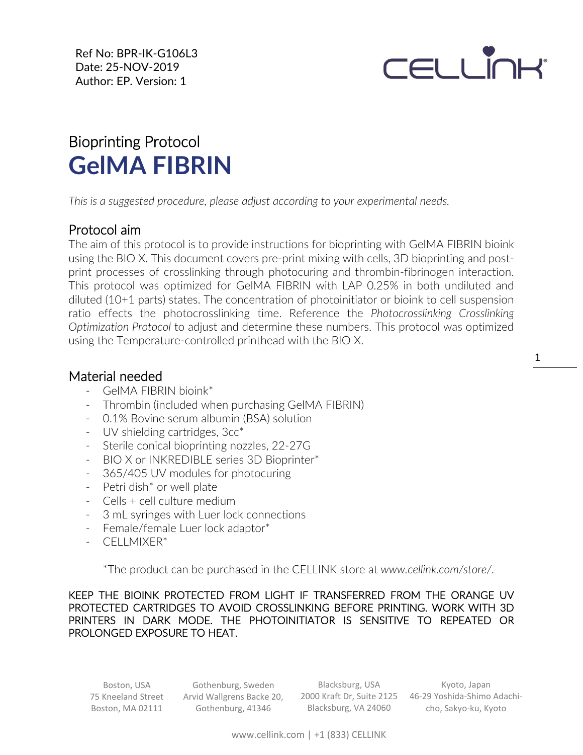Ref No: BPR-IK-G106L3 Date: 25-NOV-2019 Author: EP. Version: 1

# **CELLINH**

## Bioprinting Protocol **GelMA FIBRIN**

*This is a suggested procedure, please adjust according to your experimental needs.*

#### Protocol aim

The aim of this protocol is to provide instructions for bioprinting with GelMA FIBRIN bioink using the BIO X. This document covers pre-print mixing with cells, 3D bioprinting and postprint processes of crosslinking through photocuring and thrombin-fibrinogen interaction. This protocol was optimized for GelMA FIBRIN with LAP 0.25% in both undiluted and diluted (10+1 parts) states. The concentration of photoinitiator or bioink to cell suspension ratio effects the photocrosslinking time. Reference the *Photocrosslinking Crosslinking Optimization Protocol* to adjust and determine these numbers. This protocol was optimized using the Temperature-controlled printhead with the BIO X.

#### Material needed

- GelMA FIBRIN bioink\*
- Thrombin (included when purchasing GelMA FIBRIN)
- 0.1% Bovine serum albumin (BSA) solution
- [UV](https://cellink.com/product/uv-shielding-cartridges-3cc/) shielding cartridges, 3cc\*
- Sterile conical bioprinting nozzles, 22-27G
- BIO X or INKREDIBLE series 3D Bioprinter\*
- 365/405 UV modules for photocuring
- Petri dish\* or well plate
- Cells + cell culture medium
- 3 mL syringes with Luer lock connections
- Female/female Luer lock adaptor\*
- CELLMIXER\*

\*The product can be purchased in the CELLINK store at *www.cellink.com/store/*.

KEEP THE BIOINK PROTECTED FROM LIGHT IF TRANSFERRED FROM THE ORANGE UV PROTECTED CARTRIDGES TO AVOID CROSSLINKING BEFORE PRINTING. WORK WITH 3D PRINTERS IN DARK MODE. THE PHOTOINITIATOR IS SENSITIVE TO REPEATED OR PROLONGED EXPOSURE TO HEAT.

Boston, USA 75 Kneeland Street Boston, MA 02111

Gothenburg, Sweden Arvid Wallgrens Backe 20, Gothenburg, 41346

Blacksburg, USA Blacksburg, VA 24060

2000 Kraft Dr, Suite 2125 46-29 Yoshida-Shimo Adachi-Kyoto, Japan cho, Sakyo-ku, Kyoto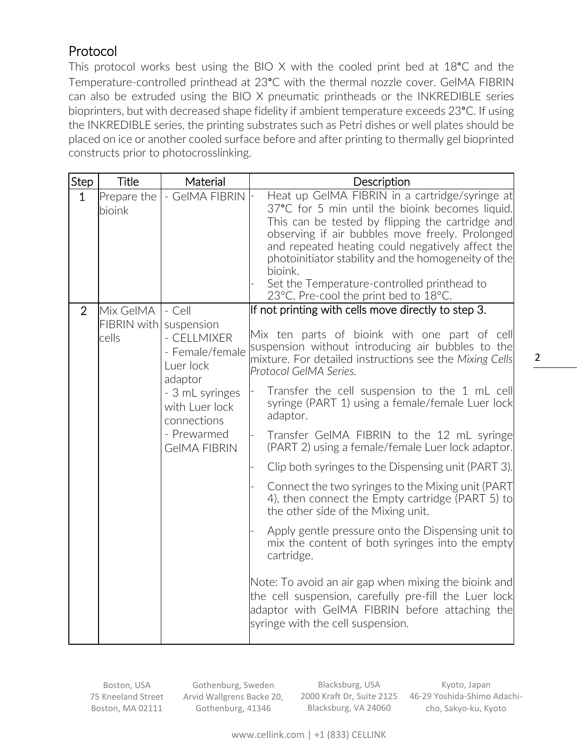### Protocol

This protocol works best using the BIO X with the cooled print bed at 18°C and the Temperature-controlled printhead at 23°C with the thermal nozzle cover. GelMA FIBRIN can also be extruded using the BIO X pneumatic printheads or the INKREDIBLE series bioprinters, but with decreased shape fidelity if ambient temperature exceeds 23°C. If using the INKREDIBLE series, the printing substrates such as Petri dishes or well plates should be placed on ice or another cooled surface before and after printing to thermally gel bioprinted constructs prior to photocrosslinking.

| Step         | Title                                        | Material                                                                                                                                                   | Description                                                                                                                                                                                                                                                                                                                                                                                                                                                                                                                                                                                                                                                                                                                                                                                                                                            |
|--------------|----------------------------------------------|------------------------------------------------------------------------------------------------------------------------------------------------------------|--------------------------------------------------------------------------------------------------------------------------------------------------------------------------------------------------------------------------------------------------------------------------------------------------------------------------------------------------------------------------------------------------------------------------------------------------------------------------------------------------------------------------------------------------------------------------------------------------------------------------------------------------------------------------------------------------------------------------------------------------------------------------------------------------------------------------------------------------------|
| $\mathbf{1}$ | Prepare the<br>bioink                        | - GeIMA FIBRIN                                                                                                                                             | Heat up GeIMA FIBRIN in a cartridge/syringe at<br>37°C for 5 min until the bioink becomes liquid.<br>This can be tested by flipping the cartridge and<br>observing if air bubbles move freely. Prolonged<br>and repeated heating could negatively affect the<br>photoinitiator stability and the homogeneity of the<br>bioink.<br>Set the Temperature-controlled printhead to<br>23°C. Pre-cool the print bed to 18°C.                                                                                                                                                                                                                                                                                                                                                                                                                                 |
| 2            | Mix GelMA<br>FIBRIN with suspension<br>cells | - Cell<br>- CELLMIXER<br>- Female/female<br>Luer lock<br>adaptor<br>- 3 mL syringes<br>with Luer lock<br>connections<br>- Prewarmed<br><b>GeIMA FIBRIN</b> | If not printing with cells move directly to step 3.<br>Mix ten parts of bioink with one part of cell<br>suspension without introducing air bubbles to the<br>mixture. For detailed instructions see the Mixing Cells<br>Protocol GelMA Series.<br>Transfer the cell suspension to the 1 mL cell<br>syringe (PART 1) using a female/female Luer lock<br>adaptor.<br>Transfer GeIMA FIBRIN to the 12 mL syringe<br>(PART 2) using a female/female Luer lock adaptor.<br>Clip both syringes to the Dispensing unit (PART 3).<br>Connect the two syringes to the Mixing unit (PART<br>4), then connect the Empty cartridge (PART 5) to<br>the other side of the Mixing unit.<br>Apply gentle pressure onto the Dispensing unit to<br>mix the content of both syringes into the empty<br>cartridge.<br>Note: To avoid an air gap when mixing the bioink and |
|              |                                              |                                                                                                                                                            | the cell suspension, carefully pre-fill the Luer lock<br>adaptor with GeIMA FIBRIN before attaching the<br>syringe with the cell suspension.                                                                                                                                                                                                                                                                                                                                                                                                                                                                                                                                                                                                                                                                                                           |

Boston, USA 75 Kneeland Street Boston, MA 02111

Gothenburg, Sweden Arvid Wallgrens Backe 20, Gothenburg, 41346

Blacksburg, USA 2000 Kraft Dr, Suite 2125 Blacksburg, VA 24060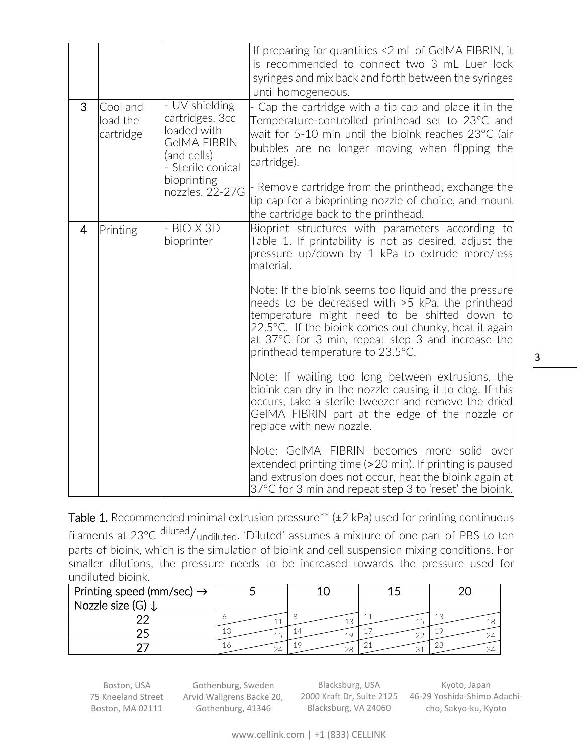|                |                                   |                                                                                                                                               | If preparing for quantities <2 mL of GeIMA FIBRIN, it<br>is recommended to connect two 3 mL Luer lock<br>syringes and mix back and forth between the syringes<br>until homogeneous.                                                                                                                                                                                                     |
|----------------|-----------------------------------|-----------------------------------------------------------------------------------------------------------------------------------------------|-----------------------------------------------------------------------------------------------------------------------------------------------------------------------------------------------------------------------------------------------------------------------------------------------------------------------------------------------------------------------------------------|
| 3              | Cool and<br>load the<br>cartridge | - UV shielding<br>cartridges, 3cc<br>loaded with<br><b>GeIMA FIBRIN</b><br>(and cells)<br>- Sterile conical<br>bioprinting<br>nozzles, 22-27G | Cap the cartridge with a tip cap and place it in the<br>Temperature-controlled printhead set to 23°C and<br>wait for 5-10 min until the bioink reaches 23°C (air<br>bubbles are no longer moving when flipping the<br>cartridge).<br>Remove cartridge from the printhead, exchange the<br>tip cap for a bioprinting nozzle of choice, and mount<br>the cartridge back to the printhead. |
| $\overline{4}$ | Printing                          | $-BIOX3D$<br>bioprinter                                                                                                                       | Bioprint structures with parameters according to<br>Table 1. If printability is not as desired, adjust the<br>pressure up/down by 1 kPa to extrude more/less<br>material.<br>Note: If the bioink seems too liquid and the pressure                                                                                                                                                      |
|                |                                   |                                                                                                                                               | needs to be decreased with >5 kPa, the printhead<br>temperature might need to be shifted down to<br>22.5°C. If the bioink comes out chunky, heat it again<br>at 37°C for 3 min, repeat step 3 and increase the<br>printhead temperature to 23.5°C.                                                                                                                                      |
|                |                                   |                                                                                                                                               | Note: If waiting too long between extrusions, the<br>bioink can dry in the nozzle causing it to clog. If this<br>occurs, take a sterile tweezer and remove the dried<br>GeIMA FIBRIN part at the edge of the nozzle or<br>replace with new nozzle.                                                                                                                                      |
|                |                                   |                                                                                                                                               | Note: GeIMA FIBRIN becomes more solid over<br>extended printing time (>20 min). If printing is paused<br>and extrusion does not occur, heat the bioink again at<br>37°C for 3 min and repeat step 3 to 'reset' the bioink.                                                                                                                                                              |

Table 1. Recommended minimal extrusion pressure\*\* ( $\pm$ 2 kPa) used for printing continuous filaments at 23°C diluted/<sub>undiluted</sub>. 'Diluted' assumes a mixture of one part of PBS to ten parts of bioink, which is the simulation of bioink and cell suspension mixing conditions. For smaller dilutions, the pressure needs to be increased towards the pressure used for undiluted bioink.

| Printing speed (mm/sec) $\rightarrow$<br>Nozzle size (G) |              |    |    |
|----------------------------------------------------------|--------------|----|----|
|                                                          |              |    |    |
|                                                          | $\sim$<br>ΤC |    |    |
|                                                          | - 10<br>24   | 28 | ZC |

Boston, USA 75 Kneeland Street Boston, MA 02111

Gothenburg, Sweden Arvid Wallgrens Backe 20, Gothenburg, 41346

Blacksburg, USA 2000 Kraft Dr, Suite 2125 Blacksburg, VA 24060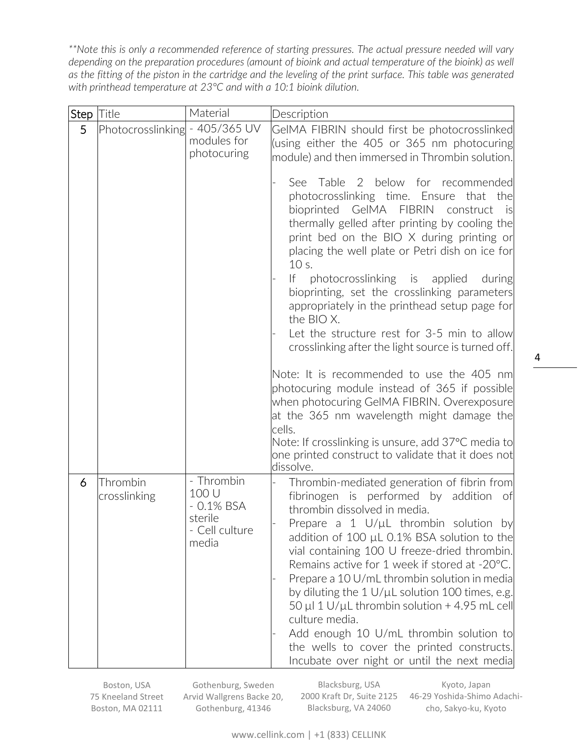*\*\*Note this is only a recommended reference of starting pressures. The actual pressure needed will vary depending on the preparation procedures (amount of bioink and actual temperature of the bioink) as well as the fitting of the piston in the cartridge and the leveling of the print surface. This table was generated with printhead temperature at 23°C and with a 10:1 bioink dilution.*

| Step | Title                    | Material                                                                  | Description                                                                                                                                                                                                                                                                                                                                                                                                                                                                                                                                                                                                                                                                                                                                                                                                                                                                                                                                                                                                                                   |
|------|--------------------------|---------------------------------------------------------------------------|-----------------------------------------------------------------------------------------------------------------------------------------------------------------------------------------------------------------------------------------------------------------------------------------------------------------------------------------------------------------------------------------------------------------------------------------------------------------------------------------------------------------------------------------------------------------------------------------------------------------------------------------------------------------------------------------------------------------------------------------------------------------------------------------------------------------------------------------------------------------------------------------------------------------------------------------------------------------------------------------------------------------------------------------------|
| 5    | Photocrosslinking        | $-405/365$ UV<br>modules for<br>photocuring                               | GeIMA FIBRIN should first be photocrosslinked<br>(using either the 405 or 365 nm photocuring<br>module) and then immersed in Thrombin solution.<br>See Table 2 below for recommended<br>photocrosslinking time. Ensure that the<br>bioprinted<br>GeIMA FIBRIN<br>construct<br>is<br>thermally gelled after printing by cooling the<br>print bed on the BIO X during printing or<br>placing the well plate or Petri dish on ice for<br>10 s.<br> f <br>photocrosslinking is applied<br>during<br>bioprinting, set the crosslinking parameters<br>appropriately in the printhead setup page for<br>the BIO X.<br>Let the structure rest for 3-5 min to allow<br>crosslinking after the light source is turned off.<br>Note: It is recommended to use the 405 nm<br>photocuring module instead of 365 if possible<br>when photocuring GeIMA FIBRIN. Overexposure<br>at the 365 nm wavelength might damage the<br>cells.<br>Note: If crosslinking is unsure, add 37°C media to<br>one printed construct to validate that it does not<br>dissolve. |
| 6    | Thrombin<br>crosslinking | - Thrombin<br>100 U<br>$-0.1\%$ BSA<br>sterile<br>- Cell culture<br>media | Thrombin-mediated generation of fibrin from<br>fibrinogen is performed by addition<br>- of<br>thrombin dissolved in media.<br>Prepare a 1 $U/\mu L$ thrombin solution by<br>addition of 100 µL 0.1% BSA solution to the<br>vial containing 100 U freeze-dried thrombin.<br>Remains active for 1 week if stored at -20°C.<br>Prepare a 10 U/mL thrombin solution in media<br>by diluting the $1 U/ \mu L$ solution 100 times, e.g.<br>50 µl 1 U/µL thrombin solution + 4.95 mL cell<br>culture media.<br>Add enough 10 U/mL thrombin solution to<br>the wells to cover the printed constructs.<br>Incubate over night or until the next media                                                                                                                                                                                                                                                                                                                                                                                                  |

Boston, USA 75 Kneeland Street Boston, MA 02111

Gothenburg, Sweden Arvid Wallgrens Backe 20, Gothenburg, 41346

Blacksburg, USA 2000 Kraft Dr, Suite 2125 Blacksburg, VA 24060